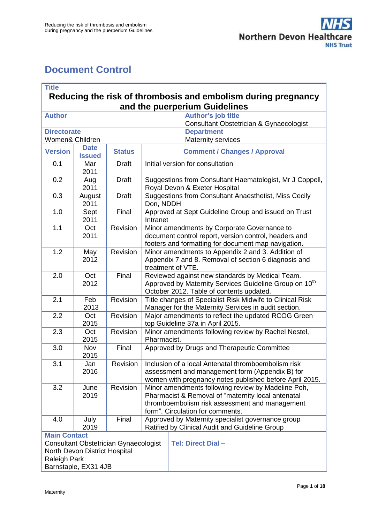# <span id="page-0-0"></span>**Document Control**

| <b>Title</b><br>Reducing the risk of thrombosis and embolism during pregnancy |                              |               |                                                                                                                       |                                                                                                                   |  |
|-------------------------------------------------------------------------------|------------------------------|---------------|-----------------------------------------------------------------------------------------------------------------------|-------------------------------------------------------------------------------------------------------------------|--|
| and the puerperium Guidelines                                                 |                              |               |                                                                                                                       |                                                                                                                   |  |
| <b>Author</b>                                                                 |                              |               |                                                                                                                       | <b>Author's job title</b><br>Consultant Obstetrician & Gynaecologist                                              |  |
| <b>Directorate</b>                                                            |                              |               |                                                                                                                       | <b>Department</b>                                                                                                 |  |
| Women& Children                                                               |                              |               |                                                                                                                       | <b>Maternity services</b>                                                                                         |  |
| <b>Version</b>                                                                | <b>Date</b><br><b>Issued</b> | <b>Status</b> |                                                                                                                       | <b>Comment / Changes / Approval</b>                                                                               |  |
| 0.1                                                                           | Mar<br>2011                  | <b>Draft</b>  |                                                                                                                       | Initial version for consultation                                                                                  |  |
| 0.2                                                                           | Aug<br>2011                  | <b>Draft</b>  |                                                                                                                       | Suggestions from Consultant Haematologist, Mr J Coppell,<br>Royal Devon & Exeter Hospital                         |  |
| 0.3                                                                           | August<br>2011               | <b>Draft</b>  | Don, NDDH                                                                                                             | Suggestions from Consultant Anaesthetist, Miss Cecily                                                             |  |
| 1.0                                                                           | Sept<br>2011                 | Final         | Intranet                                                                                                              | Approved at Sept Guideline Group and issued on Trust                                                              |  |
| 1.1                                                                           | Oct<br>2011                  | Revision      |                                                                                                                       | Minor amendments by Corporate Governance to<br>document control report, version control, headers and              |  |
|                                                                               |                              |               |                                                                                                                       | footers and formatting for document map navigation.                                                               |  |
| 1.2                                                                           | May                          | Revision      |                                                                                                                       | Minor amendments to Appendix 2 and 3. Addition of                                                                 |  |
|                                                                               | 2012                         |               | Appendix 7 and 8. Removal of section 6 diagnosis and<br>treatment of VTE.                                             |                                                                                                                   |  |
| 2.0                                                                           | Oct<br>2012                  | Final         | Reviewed against new standards by Medical Team.<br>Approved by Maternity Services Guideline Group on 10 <sup>th</sup> |                                                                                                                   |  |
|                                                                               |                              |               | October 2012. Table of contents updated.                                                                              |                                                                                                                   |  |
| 2.1                                                                           | Feb<br>2013                  | Revision      |                                                                                                                       | Title changes of Specialist Risk Midwife to Clinical Risk<br>Manager for the Maternity Services in audit section. |  |
| 2.2                                                                           | Oct<br>2015                  | Revision      | Major amendments to reflect the updated RCOG Green<br>top Guideline 37a in April 2015.                                |                                                                                                                   |  |
| 2.3                                                                           | Oct<br>2015                  | Revision      | Minor amendments following review by Rachel Nestel,<br>Pharmacist.                                                    |                                                                                                                   |  |
| 3.0                                                                           | Nov<br>2015                  | Final         | Approved by Drugs and Therapeutic Committee                                                                           |                                                                                                                   |  |
| 3.1                                                                           | Jan<br>2016                  | Revision      | Inclusion of a local Antenatal thromboembolism risk<br>assessment and management form (Appendix B) for                |                                                                                                                   |  |
|                                                                               |                              |               |                                                                                                                       | women with pregnancy notes published before April 2015.                                                           |  |
| 3.2                                                                           | June                         | Revision      | Minor amendments following review by Madeline Poh,                                                                    |                                                                                                                   |  |
|                                                                               | 2019                         |               | Pharmacist & Removal of "maternity local antenatal<br>thromboembolism risk assessment and management                  |                                                                                                                   |  |
|                                                                               |                              |               | form". Circulation for comments.                                                                                      |                                                                                                                   |  |
| 4.0                                                                           | July                         | Final         |                                                                                                                       | Approved by Maternity specialist governance group                                                                 |  |
|                                                                               | 2019                         |               |                                                                                                                       | Ratified by Clinical Audit and Guideline Group                                                                    |  |
| <b>Main Contact</b>                                                           |                              |               |                                                                                                                       | <b>Tel: Direct Dial -</b>                                                                                         |  |
| <b>Consultant Obstetrician Gynaecologist</b><br>North Devon District Hospital |                              |               |                                                                                                                       |                                                                                                                   |  |
| Raleigh Park                                                                  |                              |               |                                                                                                                       |                                                                                                                   |  |
| Barnstaple, EX31 4JB                                                          |                              |               |                                                                                                                       |                                                                                                                   |  |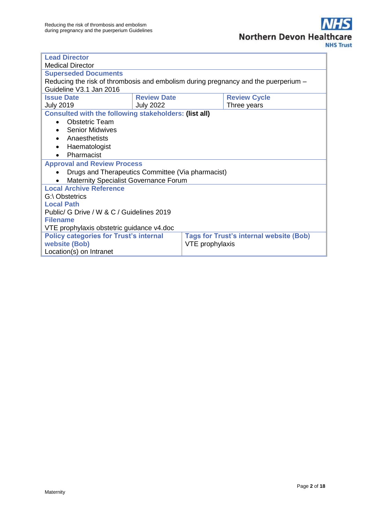| <b>Lead Director</b>                                                                            |                                           |  |             |  |  |
|-------------------------------------------------------------------------------------------------|-------------------------------------------|--|-------------|--|--|
| <b>Medical Director</b>                                                                         |                                           |  |             |  |  |
| <b>Superseded Documents</b>                                                                     |                                           |  |             |  |  |
| Reducing the risk of thrombosis and embolism during pregnancy and the puerperium –              |                                           |  |             |  |  |
| Guideline V3.1 Jan 2016                                                                         |                                           |  |             |  |  |
| <b>Issue Date</b>                                                                               | <b>Review Date</b><br><b>Review Cycle</b> |  |             |  |  |
| <b>July 2019</b>                                                                                | <b>July 2022</b>                          |  | Three years |  |  |
| <b>Consulted with the following stakeholders: (list all)</b>                                    |                                           |  |             |  |  |
| <b>Obstetric Team</b><br>$\bullet$                                                              |                                           |  |             |  |  |
| <b>Senior Midwives</b><br>$\bullet$                                                             |                                           |  |             |  |  |
| Anaesthetists<br>$\bullet$                                                                      |                                           |  |             |  |  |
| Haematologist<br>$\bullet$                                                                      |                                           |  |             |  |  |
| Pharmacist<br>$\bullet$                                                                         |                                           |  |             |  |  |
| <b>Approval and Review Process</b>                                                              |                                           |  |             |  |  |
| Drugs and Therapeutics Committee (Via pharmacist)                                               |                                           |  |             |  |  |
| <b>Maternity Specialist Governance Forum</b>                                                    |                                           |  |             |  |  |
| <b>Local Archive Reference</b>                                                                  |                                           |  |             |  |  |
| G:\ Obstetrics                                                                                  |                                           |  |             |  |  |
| <b>Local Path</b>                                                                               |                                           |  |             |  |  |
| Public/ G Drive / W & C / Guidelines 2019                                                       |                                           |  |             |  |  |
| <b>Filename</b>                                                                                 |                                           |  |             |  |  |
| VTE prophylaxis obstetric guidance v4.doc                                                       |                                           |  |             |  |  |
| <b>Policy categories for Trust's internal</b><br><b>Tags for Trust's internal website (Bob)</b> |                                           |  |             |  |  |
| website (Bob)<br>VTE prophylaxis                                                                |                                           |  |             |  |  |
| Location(s) on Intranet                                                                         |                                           |  |             |  |  |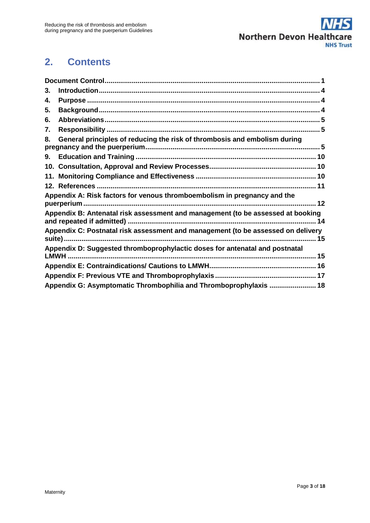

# **2. Contents**

| 3. |                                                                                     |
|----|-------------------------------------------------------------------------------------|
| 4. |                                                                                     |
| 5. |                                                                                     |
| 6. |                                                                                     |
| 7. |                                                                                     |
| 8. | General principles of reducing the risk of thrombosis and embolism during           |
| 9. |                                                                                     |
|    |                                                                                     |
|    |                                                                                     |
|    |                                                                                     |
|    | Appendix A: Risk factors for venous thromboembolism in pregnancy and the            |
|    | Appendix B: Antenatal risk assessment and management (to be assessed at booking     |
|    | Appendix C: Postnatal risk assessment and management (to be assessed on delivery    |
|    | Appendix D: Suggested thromboprophylactic doses for antenatal and postnatal<br>LMWH |
|    |                                                                                     |
|    |                                                                                     |
|    | Appendix G: Asymptomatic Thrombophilia and Thromboprophylaxis  18                   |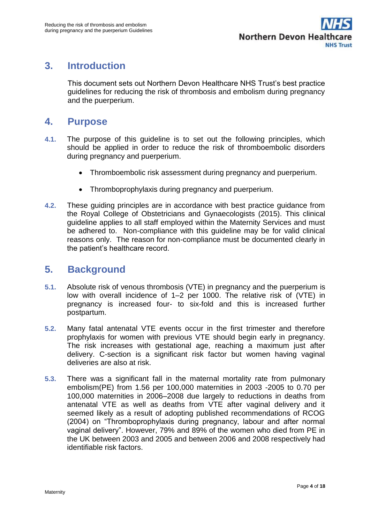# <span id="page-3-0"></span>**3. Introduction**

This document sets out Northern Devon Healthcare NHS Trust's best practice guidelines for reducing the risk of thrombosis and embolism during pregnancy and the puerperium.

## <span id="page-3-1"></span>**4. Purpose**

- **4.1.** The purpose of this guideline is to set out the following principles, which should be applied in order to reduce the risk of thromboembolic disorders during pregnancy and puerperium.
	- Thromboembolic risk assessment during pregnancy and puerperium.
	- Thromboprophylaxis during pregnancy and puerperium.
- **4.2.** These guiding principles are in accordance with best practice guidance from the Royal College of Obstetricians and Gynaecologists (2015). This clinical guideline applies to all staff employed within the Maternity Services and must be adhered to. Non-compliance with this guideline may be for valid clinical reasons only. The reason for non-compliance must be documented clearly in the patient's healthcare record.

## <span id="page-3-2"></span>**5. Background**

- **5.1.** Absolute risk of venous thrombosis (VTE) in pregnancy and the puerperium is low with overall incidence of 1–2 per 1000. The relative risk of (VTE) in pregnancy is increased four- to six-fold and this is increased further postpartum.
- **5.2.** Many fatal antenatal VTE events occur in the first trimester and therefore prophylaxis for women with previous VTE should begin early in pregnancy. The risk increases with gestational age, reaching a maximum just after delivery. C-section is a significant risk factor but women having vaginal deliveries are also at risk.
- **5.3.** There was a significant fall in the maternal mortality rate from pulmonary embolism(PE) from 1.56 per 100,000 maternities in 2003 -2005 to 0.70 per 100,000 maternities in 2006–2008 due largely to reductions in deaths from antenatal VTE as well as deaths from VTE after vaginal delivery and it seemed likely as a result of adopting published recommendations of RCOG (2004) on "Thromboprophylaxis during pregnancy, labour and after normal vaginal delivery". However, 79% and 89% of the women who died from PE in the UK between 2003 and 2005 and between 2006 and 2008 respectively had identifiable risk factors.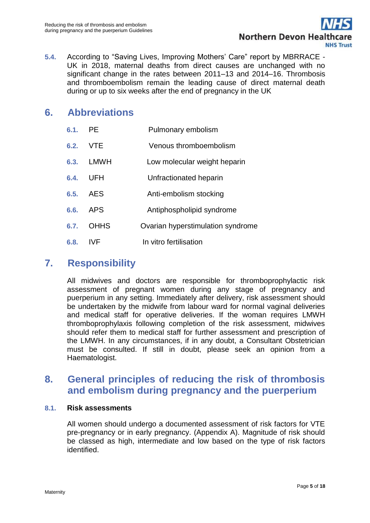

**5.4.** According to "Saving Lives, Improving Mothers' Care" report by MBRRACE - UK in 2018, maternal deaths from direct causes are unchanged with no significant change in the rates between 2011–13 and 2014–16. Thrombosis and thromboembolism remain the leading cause of direct maternal death during or up to six weeks after the end of pregnancy in the UK

## <span id="page-4-0"></span>**6. Abbreviations**

| 6.1. | <b>PE</b>   | Pulmonary embolism                |
|------|-------------|-----------------------------------|
| 6.2. | <b>VTE</b>  | Venous thromboembolism            |
| 6.3. | LMWH        | Low molecular weight heparin      |
| 6.4. | UFH         | Unfractionated heparin            |
| 6.5. | AES         | Anti-embolism stocking            |
| 6.6. | <b>APS</b>  | Antiphospholipid syndrome         |
| 6.7. | <b>OHHS</b> | Ovarian hyperstimulation syndrome |
| 6.8. | <b>IVF</b>  | In vitro fertilisation            |

# <span id="page-4-1"></span>**7. Responsibility**

All midwives and doctors are responsible for thromboprophylactic risk assessment of pregnant women during any stage of pregnancy and puerperium in any setting. Immediately after delivery, risk assessment should be undertaken by the midwife from labour ward for normal vaginal deliveries and medical staff for operative deliveries. If the woman requires LMWH thromboprophylaxis following completion of the risk assessment, midwives should refer them to medical staff for further assessment and prescription of the LMWH. In any circumstances, if in any doubt, a Consultant Obstetrician must be consulted. If still in doubt, please seek an opinion from a Haematologist.

# <span id="page-4-2"></span>**8. General principles of reducing the risk of thrombosis and embolism during pregnancy and the puerperium**

#### **8.1. Risk assessments**

All women should undergo a documented assessment of risk factors for VTE pre-pregnancy or in early pregnancy. (Appendix A). Magnitude of risk should be classed as high, intermediate and low based on the type of risk factors identified.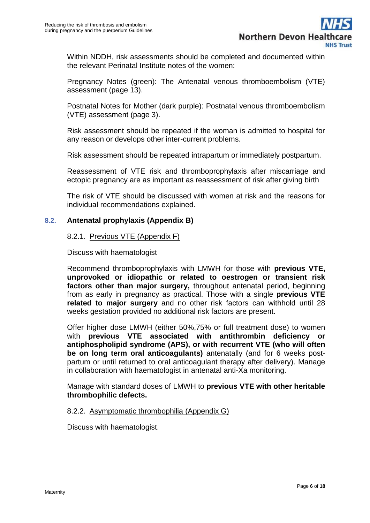Within NDDH, risk assessments should be completed and documented within the relevant Perinatal Institute notes of the women:

Pregnancy Notes (green): The Antenatal venous thromboembolism (VTE) assessment (page 13).

Postnatal Notes for Mother (dark purple): Postnatal venous thromboembolism (VTE) assessment (page 3).

Risk assessment should be repeated if the woman is admitted to hospital for any reason or develops other inter-current problems.

Risk assessment should be repeated intrapartum or immediately postpartum.

Reassessment of VTE risk and thromboprophylaxis after miscarriage and ectopic pregnancy are as important as reassessment of risk after giving birth

The risk of VTE should be discussed with women at risk and the reasons for individual recommendations explained.

### **8.2. Antenatal prophylaxis (Appendix B)**

#### 8.2.1. Previous VTE (Appendix F)

Discuss with haematologist

Recommend thromboprophylaxis with LMWH for those with **previous VTE, unprovoked or idiopathic or related to oestrogen or transient risk factors other than major surgery,** throughout antenatal period, beginning from as early in pregnancy as practical. Those with a single **previous VTE related to major surgery** and no other risk factors can withhold until 28 weeks gestation provided no additional risk factors are present.

Offer higher dose LMWH (either 50%,75% or full treatment dose) to women with **previous VTE associated with antithrombin deficiency or antiphospholipid syndrome (APS), or with recurrent VTE (who will often be on long term oral anticoagulants)** antenatally (and for 6 weeks postpartum or until returned to oral anticoagulant therapy after delivery). Manage in collaboration with haematologist in antenatal anti-Xa monitoring.

Manage with standard doses of LMWH to **previous VTE with other heritable thrombophilic defects.** 

#### 8.2.2. Asymptomatic thrombophilia (Appendix G)

Discuss with haematologist.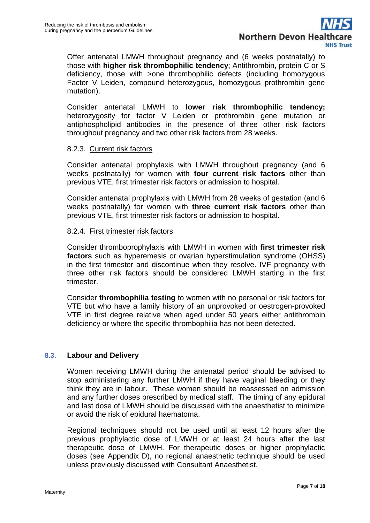

Offer antenatal LMWH throughout pregnancy and (6 weeks postnatally) to those with **higher risk thrombophilic tendency**; Antithrombin, protein C or S deficiency, those with >one thrombophilic defects (including homozygous Factor V Leiden, compound heterozygous, homozygous prothrombin gene mutation).

Consider antenatal LMWH to **lower risk thrombophilic tendency;**  heterozygosity for factor V Leiden or prothrombin gene mutation or antiphospholipid antibodies in the presence of three other risk factors throughout pregnancy and two other risk factors from 28 weeks.

#### 8.2.3. Current risk factors

Consider antenatal prophylaxis with LMWH throughout pregnancy (and 6 weeks postnatally) for women with **four current risk factors** other than previous VTE, first trimester risk factors or admission to hospital.

Consider antenatal prophylaxis with LMWH from 28 weeks of gestation (and 6 weeks postnatally) for women with **three current risk factors** other than previous VTE, first trimester risk factors or admission to hospital.

#### 8.2.4. First trimester risk factors

Consider thromboprophylaxis with LMWH in women with **first trimester risk factors** such as hyperemesis or ovarian hyperstimulation syndrome (OHSS) in the first trimester and discontinue when they resolve. IVF pregnancy with three other risk factors should be considered LMWH starting in the first trimester.

Consider **thrombophilia testing** to women with no personal or risk factors for VTE but who have a family history of an unprovoked or oestrogen-provoked VTE in first degree relative when aged under 50 years either antithrombin deficiency or where the specific thrombophilia has not been detected.

#### **8.3. Labour and Delivery**

Women receiving LMWH during the antenatal period should be advised to stop administering any further LMWH if they have vaginal bleeding or they think they are in labour. These women should be reassessed on admission and any further doses prescribed by medical staff. The timing of any epidural and last dose of LMWH should be discussed with the anaesthetist to minimize or avoid the risk of epidural haematoma.

Regional techniques should not be used until at least 12 hours after the previous prophylactic dose of LMWH or at least 24 hours after the last therapeutic dose of LMWH. For therapeutic doses or higher prophylactic doses (see Appendix D), no regional anaesthetic technique should be used unless previously discussed with Consultant Anaesthetist.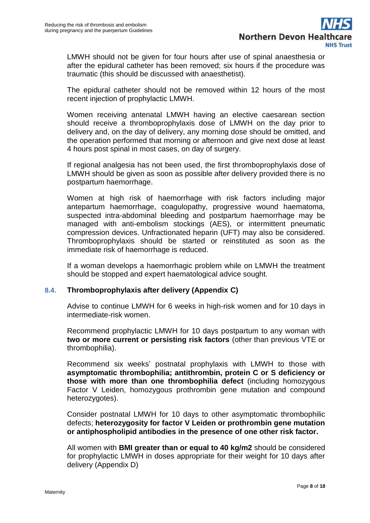LMWH should not be given for four hours after use of spinal anaesthesia or after the epidural catheter has been removed; six hours if the procedure was traumatic (this should be discussed with anaesthetist).

The epidural catheter should not be removed within 12 hours of the most recent injection of prophylactic LMWH.

Women receiving antenatal LMWH having an elective caesarean section should receive a thromboprophylaxis dose of LMWH on the day prior to delivery and, on the day of delivery, any morning dose should be omitted, and the operation performed that morning or afternoon and give next dose at least 4 hours post spinal in most cases, on day of surgery.

If regional analgesia has not been used, the first thromboprophylaxis dose of LMWH should be given as soon as possible after delivery provided there is no postpartum haemorrhage.

Women at high risk of haemorrhage with risk factors including major antepartum haemorrhage, coagulopathy, progressive wound haematoma, suspected intra-abdominal bleeding and postpartum haemorrhage may be managed with anti-embolism stockings (AES), or intermittent pneumatic compression devices. Unfractionated heparin (UFT) may also be considered. Thromboprophylaxis should be started or reinstituted as soon as the immediate risk of haemorrhage is reduced.

If a woman develops a haemorrhagic problem while on LMWH the treatment should be stopped and expert haematological advice sought.

#### **8.4. Thromboprophylaxis after delivery (Appendix C)**

Advise to continue LMWH for 6 weeks in high-risk women and for 10 days in intermediate-risk women.

Recommend prophylactic LMWH for 10 days postpartum to any woman with **two or more current or persisting risk factors** (other than previous VTE or thrombophilia).

Recommend six weeks' postnatal prophylaxis with LMWH to those with **asymptomatic thrombophilia; antithrombin, protein C or S deficiency or those with more than one thrombophilia defect** (including homozygous Factor V Leiden, homozygous prothrombin gene mutation and compound heterozygotes).

Consider postnatal LMWH for 10 days to other asymptomatic thrombophilic defects; **heterozygosity for factor V Leiden or prothrombin gene mutation or antiphospholipid antibodies in the presence of one other risk factor.** 

All women with **BMI greater than or equal to 40 kg/m2** should be considered for prophylactic LMWH in doses appropriate for their weight for 10 days after delivery (Appendix D)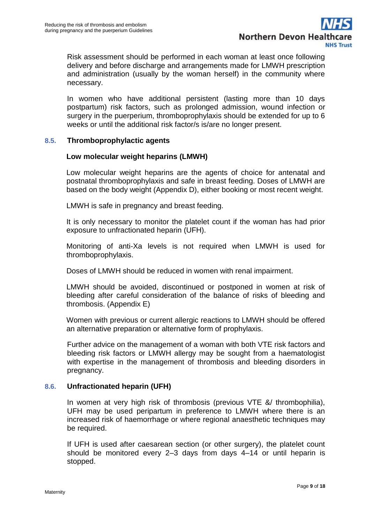

Risk assessment should be performed in each woman at least once following delivery and before discharge and arrangements made for LMWH prescription and administration (usually by the woman herself) in the community where necessary.

In women who have additional persistent (lasting more than 10 days postpartum) risk factors, such as prolonged admission, wound infection or surgery in the puerperium, thromboprophylaxis should be extended for up to 6 weeks or until the additional risk factor/s is/are no longer present.

#### **8.5. Thromboprophylactic agents**

#### **Low molecular weight heparins (LMWH)**

Low molecular weight heparins are the agents of choice for antenatal and postnatal thromboprophylaxis and safe in breast feeding. Doses of LMWH are based on the body weight (Appendix D), either booking or most recent weight.

LMWH is safe in pregnancy and breast feeding.

It is only necessary to monitor the platelet count if the woman has had prior exposure to unfractionated heparin (UFH).

Monitoring of anti-Xa levels is not required when LMWH is used for thromboprophylaxis.

Doses of LMWH should be reduced in women with renal impairment.

LMWH should be avoided, discontinued or postponed in women at risk of bleeding after careful consideration of the balance of risks of bleeding and thrombosis. (Appendix E)

Women with previous or current allergic reactions to LMWH should be offered an alternative preparation or alternative form of prophylaxis.

Further advice on the management of a woman with both VTE risk factors and bleeding risk factors or LMWH allergy may be sought from a haematologist with expertise in the management of thrombosis and bleeding disorders in pregnancy.

#### **8.6. Unfractionated heparin (UFH)**

In women at very high risk of thrombosis (previous VTE &/ thrombophilia), UFH may be used peripartum in preference to LMWH where there is an increased risk of haemorrhage or where regional anaesthetic techniques may be required.

If UFH is used after caesarean section (or other surgery), the platelet count should be monitored every 2–3 days from days 4–14 or until heparin is stopped.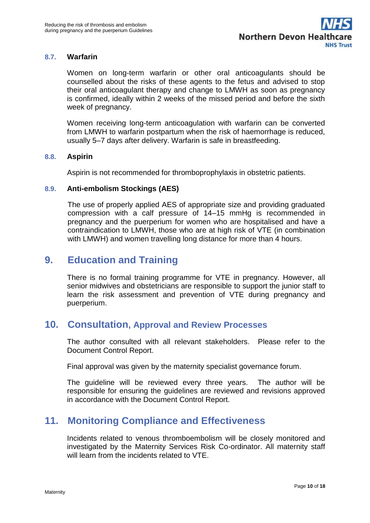#### **8.7. Warfarin**

Women on long-term warfarin or other oral anticoagulants should be counselled about the risks of these agents to the fetus and advised to stop their oral anticoagulant therapy and change to LMWH as soon as pregnancy is confirmed, ideally within 2 weeks of the missed period and before the sixth week of pregnancy.

Women receiving long-term anticoagulation with warfarin can be converted from LMWH to warfarin postpartum when the risk of haemorrhage is reduced, usually 5–7 days after delivery. Warfarin is safe in breastfeeding.

#### **8.8. Aspirin**

Aspirin is not recommended for thromboprophylaxis in obstetric patients.

#### **8.9. Anti-embolism Stockings (AES)**

The use of properly applied AES of appropriate size and providing graduated compression with a calf pressure of 14–15 mmHg is recommended in pregnancy and the puerperium for women who are hospitalised and have a contraindication to LMWH, those who are at high risk of VTE (in combination with LMWH) and women travelling long distance for more than 4 hours.

## <span id="page-9-0"></span>**9. Education and Training**

There is no formal training programme for VTE in pregnancy. However, all senior midwives and obstetricians are responsible to support the junior staff to learn the risk assessment and prevention of VTE during pregnancy and puerperium.

### <span id="page-9-1"></span>**10. Consultation, Approval and Review Processes**

The author consulted with all relevant stakeholders. Please refer to the Document Control Report.

Final approval was given by the maternity specialist governance forum.

The guideline will be reviewed every three years. The author will be responsible for ensuring the guidelines are reviewed and revisions approved in accordance with the Document Control Report.

### <span id="page-9-2"></span>**11. Monitoring Compliance and Effectiveness**

Incidents related to venous thromboembolism will be closely monitored and investigated by the Maternity Services Risk Co-ordinator. All maternity staff will learn from the incidents related to VTF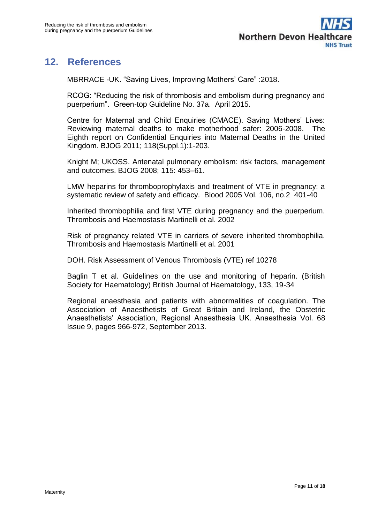

# <span id="page-10-0"></span>**12. References**

MBRRACE -UK. "Saving Lives, Improving Mothers' Care" :2018.

RCOG: "Reducing the risk of thrombosis and embolism during pregnancy and puerperium". Green-top Guideline No. 37a. April 2015.

Centre for Maternal and Child Enquiries (CMACE). Saving Mothers' Lives: Reviewing maternal deaths to make motherhood safer: 2006-2008. The Eighth report on Confidential Enquiries into Maternal Deaths in the United Kingdom. BJOG 2011; 118(Suppl.1):1-203.

Knight M; UKOSS. Antenatal pulmonary embolism: risk factors, management and outcomes. BJOG 2008; 115: 453–61.

LMW heparins for thromboprophylaxis and treatment of VTE in pregnancy: a systematic review of safety and efficacy. Blood 2005 Vol. 106, no.2 401-40

Inherited thrombophilia and first VTE during pregnancy and the puerperium. Thrombosis and Haemostasis Martinelli et al. 2002

Risk of pregnancy related VTE in carriers of severe inherited thrombophilia. Thrombosis and Haemostasis Martinelli et al. 2001

DOH. Risk Assessment of Venous Thrombosis (VTE) ref 10278

Baglin T et al. Guidelines on the use and monitoring of heparin. (British Society for Haematology) British Journal of Haematology, 133, 19-34

<span id="page-10-1"></span>Regional anaesthesia and patients with abnormalities of coagulation. The Association of Anaesthetists of Great Britain and Ireland, the Obstetric Anaesthetists' Association, Regional Anaesthesia UK. Anaesthesia Vol. 68 Issue 9, pages 966-972, September 2013.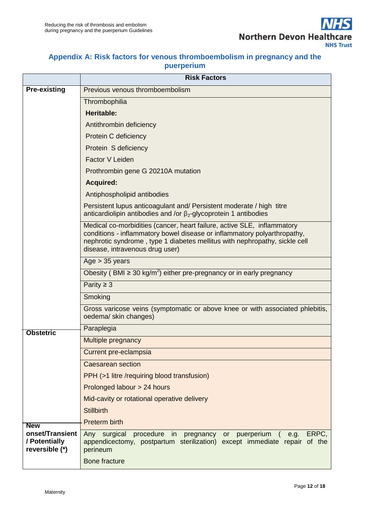### **Appendix A: Risk factors for venous thromboembolism in pregnancy and the puerperium**

|                                                    | <b>Risk Factors</b>                                                                                                                                                                                                                                                  |  |  |  |
|----------------------------------------------------|----------------------------------------------------------------------------------------------------------------------------------------------------------------------------------------------------------------------------------------------------------------------|--|--|--|
| <b>Pre-existing</b>                                | Previous venous thromboembolism                                                                                                                                                                                                                                      |  |  |  |
|                                                    | Thrombophilia                                                                                                                                                                                                                                                        |  |  |  |
|                                                    | <b>Heritable:</b>                                                                                                                                                                                                                                                    |  |  |  |
|                                                    | Antithrombin deficiency                                                                                                                                                                                                                                              |  |  |  |
|                                                    | Protein C deficiency                                                                                                                                                                                                                                                 |  |  |  |
|                                                    | Protein S deficiency                                                                                                                                                                                                                                                 |  |  |  |
|                                                    | Factor V Leiden                                                                                                                                                                                                                                                      |  |  |  |
|                                                    | Prothrombin gene G 20210A mutation                                                                                                                                                                                                                                   |  |  |  |
|                                                    | <b>Acquired:</b>                                                                                                                                                                                                                                                     |  |  |  |
|                                                    | Antiphospholipid antibodies                                                                                                                                                                                                                                          |  |  |  |
|                                                    | Persistent lupus anticoagulant and/ Persistent moderate / high titre<br>anticardiolipin antibodies and /or $\beta_2$ -glycoprotein 1 antibodies                                                                                                                      |  |  |  |
|                                                    | Medical co-morbidities (cancer, heart failure, active SLE, inflammatory<br>conditions - inflammatory bowel disease or inflammatory polyarthropathy,<br>nephrotic syndrome, type 1 diabetes mellitus with nephropathy, sickle cell<br>disease, intravenous drug user) |  |  |  |
|                                                    | Age $> 35$ years                                                                                                                                                                                                                                                     |  |  |  |
|                                                    | Obesity (BMI $\geq$ 30 kg/m <sup>2</sup> ) either pre-pregnancy or in early pregnancy                                                                                                                                                                                |  |  |  |
|                                                    | Parity $\geq 3$                                                                                                                                                                                                                                                      |  |  |  |
|                                                    | Smoking                                                                                                                                                                                                                                                              |  |  |  |
|                                                    | Gross varicose veins (symptomatic or above knee or with associated phlebitis,<br>oedema/ skin changes)                                                                                                                                                               |  |  |  |
| <b>Obstetric</b>                                   | Paraplegia                                                                                                                                                                                                                                                           |  |  |  |
|                                                    | <b>Multiple pregnancy</b>                                                                                                                                                                                                                                            |  |  |  |
|                                                    | Current pre-eclampsia                                                                                                                                                                                                                                                |  |  |  |
|                                                    | <b>Caesarean section</b>                                                                                                                                                                                                                                             |  |  |  |
|                                                    | PPH (>1 litre /requiring blood transfusion)                                                                                                                                                                                                                          |  |  |  |
|                                                    | Prolonged labour > 24 hours                                                                                                                                                                                                                                          |  |  |  |
|                                                    | Mid-cavity or rotational operative delivery                                                                                                                                                                                                                          |  |  |  |
|                                                    | <b>Stillbirth</b>                                                                                                                                                                                                                                                    |  |  |  |
| <b>New</b>                                         | Preterm birth                                                                                                                                                                                                                                                        |  |  |  |
| onset/Transient<br>/ Potentially<br>reversible (*) | ERPC.<br>Any surgical<br>procedure<br>in<br>pregnancy<br>puerperium<br>or<br>e.g.<br>appendicectomy, postpartum sterilization) except immediate repair of the<br>perineum                                                                                            |  |  |  |
|                                                    | <b>Bone fracture</b>                                                                                                                                                                                                                                                 |  |  |  |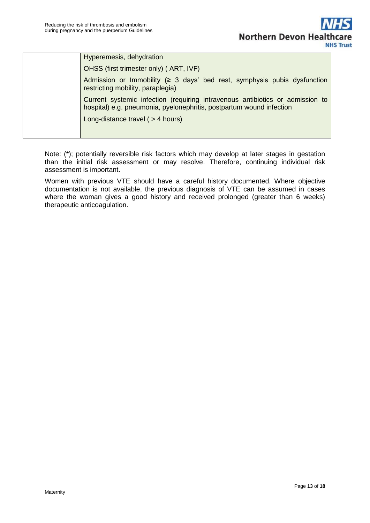| Hyperemesis, dehydration                                                                                                                              |
|-------------------------------------------------------------------------------------------------------------------------------------------------------|
| OHSS (first trimester only) (ART, IVF)                                                                                                                |
| Admission or Immobility ( $\geq$ 3 days' bed rest, symphysis pubis dysfunction<br>restricting mobility, paraplegia)                                   |
| Current systemic infection (requiring intravenous antibiotics or admission to<br>hospital) e.g. pneumonia, pyelonephritis, postpartum wound infection |
| Long-distance travel ( $>$ 4 hours)                                                                                                                   |
|                                                                                                                                                       |

Note: (\*); potentially reversible risk factors which may develop at later stages in gestation than the initial risk assessment or may resolve. Therefore, continuing individual risk assessment is important.

<span id="page-12-0"></span>Women with previous VTE should have a careful history documented. Where objective documentation is not available, the previous diagnosis of VTE can be assumed in cases where the woman gives a good history and received prolonged (greater than 6 weeks) therapeutic anticoagulation.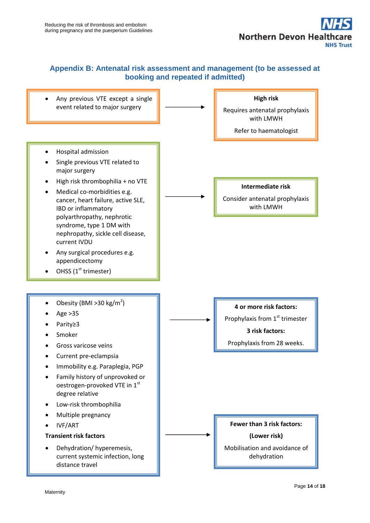

#### **Appendix B: Antenatal risk assessment and management (to be assessed at booking and repeated if admitted)**

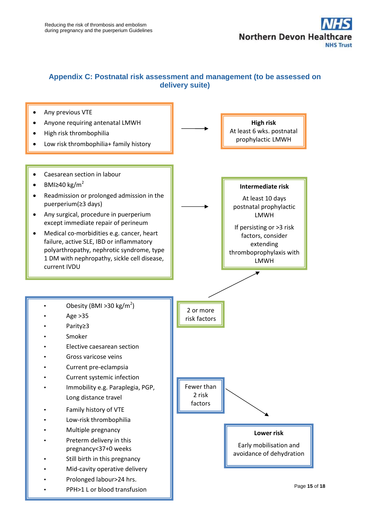

#### <span id="page-14-0"></span>**Appendix C: Postnatal risk assessment and management (to be assessed on delivery suite)**

<span id="page-14-1"></span>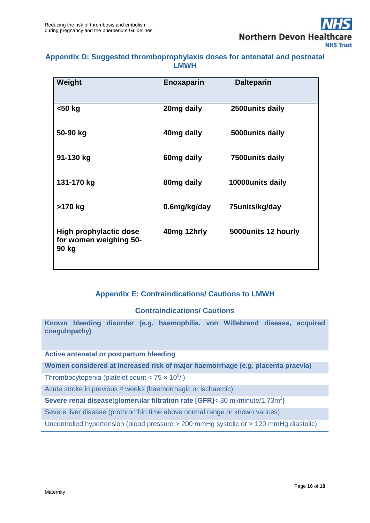

### **Appendix D: Suggested thromboprophylaxis doses for antenatal and postnatal LMWH**

| Weight                                                           | <b>Enoxaparin</b> | <b>Dalteparin</b>    |
|------------------------------------------------------------------|-------------------|----------------------|
| <50 kg                                                           | 20mg daily        | 2500units daily      |
| 50-90 kg                                                         | 40mg daily        | 5000 units daily     |
| 91-130 kg                                                        | 60mg daily        | 7500units daily      |
| 131-170 kg                                                       | 80mg daily        | 10000units daily     |
| >170 kg                                                          | 0.6mg/kg/day      | 75units/kg/day       |
| <b>High prophylactic dose</b><br>for women weighing 50-<br>90 kg | 40mg 12hrly       | 5000 units 12 hourly |

### **Appendix E: Contraindications/ Cautions to LMWH**

### **Contraindications/ Cautions**

<span id="page-15-0"></span>**Known bleeding disorder (e.g. haemophilia, von Willebrand disease, acquired coagulopathy)**

#### **Active antenatal or postpartum bleeding**

**Women considered at increased risk of major haemorrhage (e.g. placenta praevia)**

Thrombocytopenia (platelet count <  $75 \times 10^9$ /l)

Acute stroke in previous 4 weeks (haemorrhagic or ischaemic)

#### **Severe renal disease(glomerular filtration rate [GFR]< 30 ml/minute/1.73m<sup>2</sup>)**

Severe liver disease (prothrombin time above normal range or known varices)

Uncontrolled hypertension (blood pressure > 200 mmHg systolic or > 120 mmHg diastolic)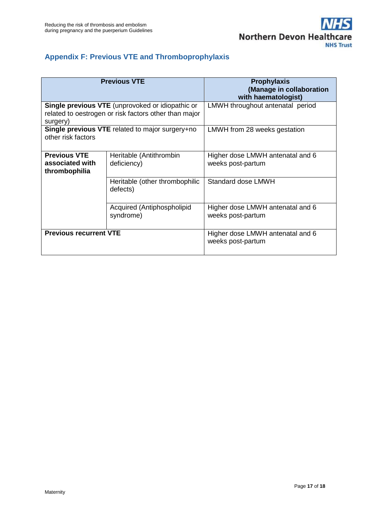### <span id="page-16-0"></span>**Appendix F: Previous VTE and Thromboprophylaxis**

|                                                                                                                              | <b>Previous VTE</b>                        | <b>Prophylaxis</b><br>(Manage in collaboration<br>with haematologist) |  |
|------------------------------------------------------------------------------------------------------------------------------|--------------------------------------------|-----------------------------------------------------------------------|--|
| <b>Single previous VTE</b> (unprovoked or idiopathic or<br>related to oestrogen or risk factors other than major<br>surgery) |                                            | LMWH throughout antenatal period                                      |  |
| Single previous VTE related to major surgery+no<br>other risk factors                                                        |                                            | LMWH from 28 weeks gestation                                          |  |
| <b>Previous VTE</b><br>associated with<br>thrombophilia                                                                      | Heritable (Antithrombin<br>deficiency)     | Higher dose LMWH antenatal and 6<br>weeks post-partum                 |  |
|                                                                                                                              | Heritable (other thrombophilic<br>defects) | Standard dose LMWH                                                    |  |
|                                                                                                                              | Acquired (Antiphospholipid<br>syndrome)    | Higher dose LMWH antenatal and 6<br>weeks post-partum                 |  |
| <b>Previous recurrent VTE</b>                                                                                                |                                            | Higher dose LMWH antenatal and 6<br>weeks post-partum                 |  |